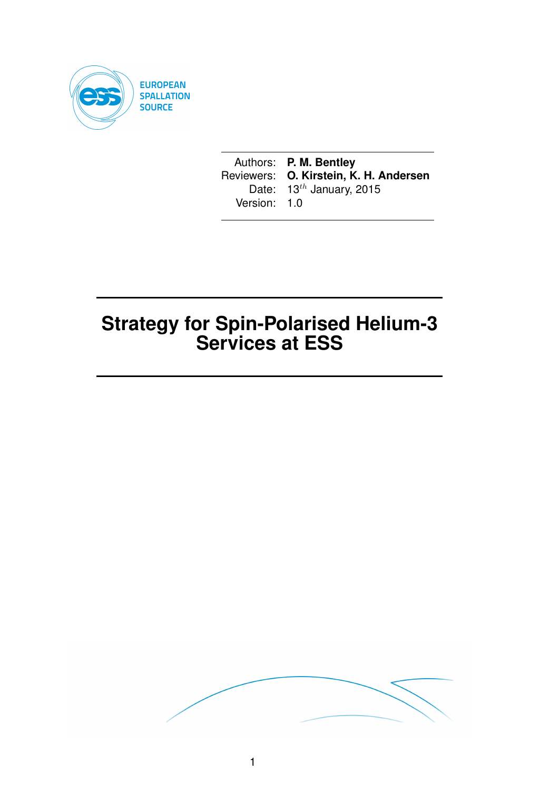

Authors: **P. M. Bentley** Reviewers: **O. Kirstein, K. H. Andersen** Date:  $13^{th}$  January, 2015 Version: 1.0

# **Strategy for Spin-Polarised Helium-3 Services at ESS**

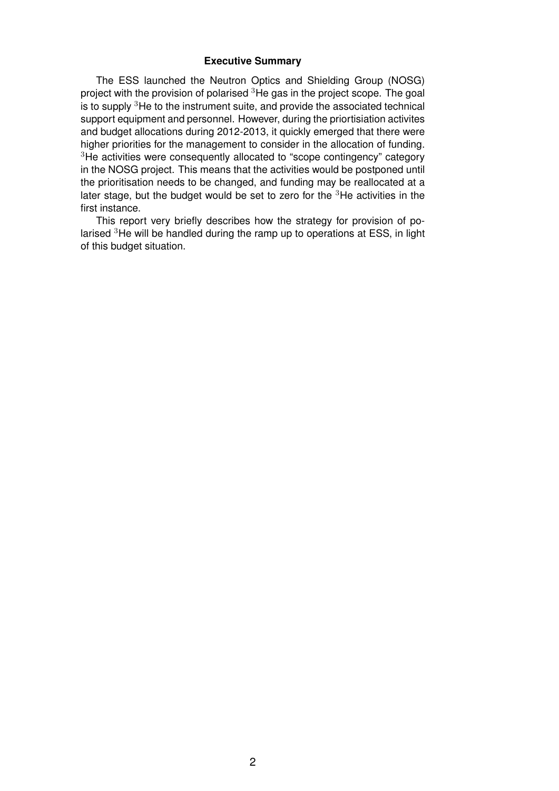#### **Executive Summary**

The ESS launched the Neutron Optics and Shielding Group (NOSG) project with the provision of polarised <sup>3</sup>He gas in the project scope. The goal is to supply  $3$ He to the instrument suite, and provide the associated technical support equipment and personnel. However, during the priortisiation activites and budget allocations during 2012-2013, it quickly emerged that there were higher priorities for the management to consider in the allocation of funding. <sup>3</sup>He activities were consequently allocated to "scope contingency" category in the NOSG project. This means that the activities would be postponed until the prioritisation needs to be changed, and funding may be reallocated at a later stage, but the budget would be set to zero for the <sup>3</sup>He activities in the first instance.

This report very briefly describes how the strategy for provision of polarised <sup>3</sup>He will be handled during the ramp up to operations at ESS, in light of this budget situation.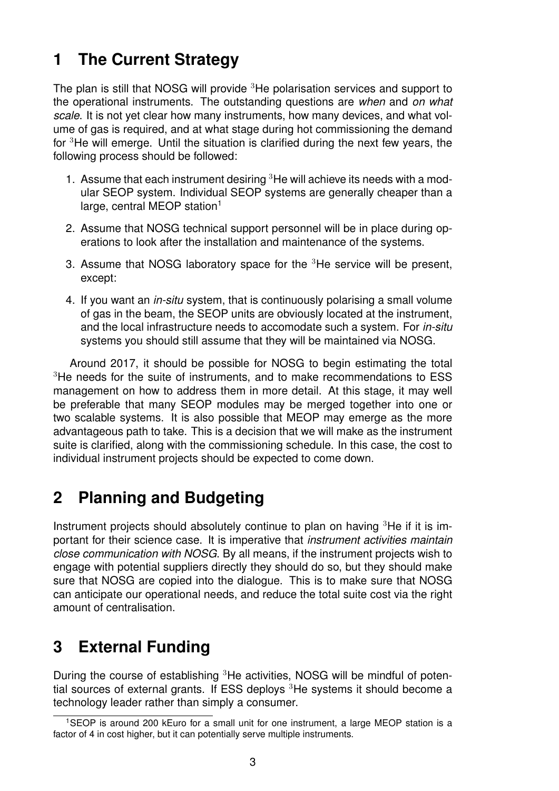## **1 The Current Strategy**

The plan is still that NOSG will provide <sup>3</sup>He polarisation services and support to the operational instruments. The outstanding questions are *when* and *on what scale*. It is not yet clear how many instruments, how many devices, and what volume of gas is required, and at what stage during hot commissioning the demand for <sup>3</sup>He will emerge. Until the situation is clarified during the next few years, the following process should be followed:

- 1. Assume that each instrument desiring  ${}^{3}$ He will achieve its needs with a modular SEOP system. Individual SEOP systems are generally cheaper than a large, central MEOP station<sup>1</sup>
- 2. Assume that NOSG technical support personnel will be in place during operations to look after the installation and maintenance of the systems.
- 3. Assume that NOSG laboratory space for the <sup>3</sup>He service will be present, except:
- 4. If you want an *in-situ* system, that is continuously polarising a small volume of gas in the beam, the SEOP units are obviously located at the instrument, and the local infrastructure needs to accomodate such a system. For *in-situ* systems you should still assume that they will be maintained via NOSG.

Around 2017, it should be possible for NOSG to begin estimating the total <sup>3</sup>He needs for the suite of instruments, and to make recommendations to ESS management on how to address them in more detail. At this stage, it may well be preferable that many SEOP modules may be merged together into one or two scalable systems. It is also possible that MEOP may emerge as the more advantageous path to take. This is a decision that we will make as the instrument suite is clarified, along with the commissioning schedule. In this case, the cost to individual instrument projects should be expected to come down.

## **2 Planning and Budgeting**

Instrument projects should absolutely continue to plan on having <sup>3</sup>He if it is important for their science case. It is imperative that *instrument activities maintain close communication with NOSG*. By all means, if the instrument projects wish to engage with potential suppliers directly they should do so, but they should make sure that NOSG are copied into the dialogue. This is to make sure that NOSG can anticipate our operational needs, and reduce the total suite cost via the right amount of centralisation.

## **3 External Funding**

During the course of establishing <sup>3</sup>He activities, NOSG will be mindful of potential sources of external grants. If ESS deploys  ${}^{3}$ He systems it should become a technology leader rather than simply a consumer.

<sup>1</sup>SEOP is around 200 kEuro for a small unit for one instrument, a large MEOP station is a factor of 4 in cost higher, but it can potentially serve multiple instruments.